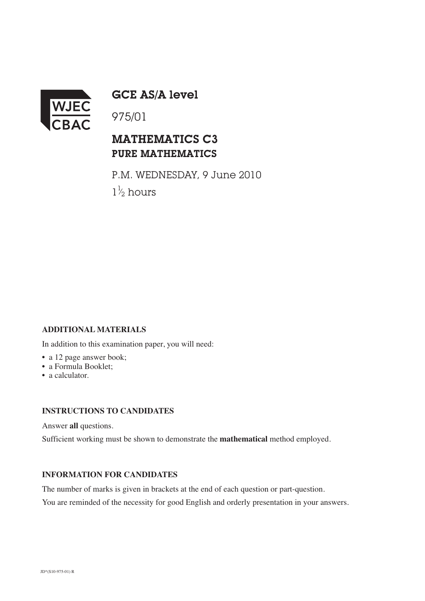

GCE AS/A level

## MATHEMATICS C3 PURE MATHEMATICS

P.M. WEDNESDAY, 9 June 2010  $1\frac{1}{2}$  hours ⁄

### **ADDITIONAL MATERIALS**

In addition to this examination paper, you will need:

- a 12 page answer book;
- a Formula Booklet;
- a calculator.

### **INSTRUCTIONS TO CANDIDATES**

Answer **all** questions.

Sufficient working must be shown to demonstrate the **mathematical** method employed.

#### **INFORMATION FOR CANDIDATES**

The number of marks is given in brackets at the end of each question or part-question.

You are reminded of the necessity for good English and orderly presentation in your answers.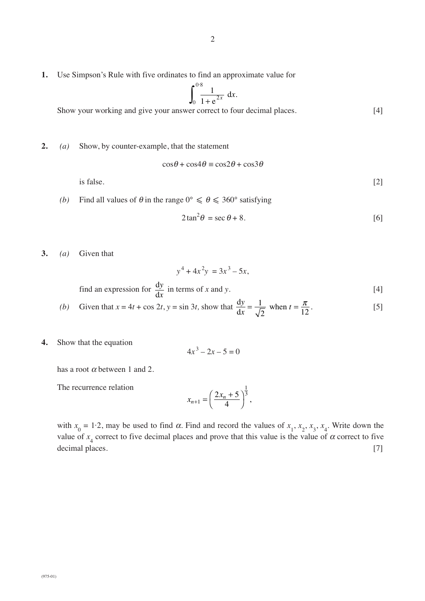**1.** Use Simpson's Rule with five ordinates to find an approximate value for

$$
\int_0^{0.8} \frac{1}{1 + e^{2x}} dx.
$$

Show your working and give your answer correct to four decimal places. [4]

**2.** *(a)* Show, by counter-example, that the statement

$$
\cos\theta + \cos 4\theta \equiv \cos 2\theta + \cos 3\theta
$$

is false.  $[2]$ 

*(b)* Find all values of  $\theta$  in the range  $0^{\circ} \le \theta \le 360^{\circ}$  satisfying

$$
2\tan^2\theta = \sec\theta + 8. \tag{6}
$$

**3.** *(a)* Given that

$$
y^4 + 4x^2y = 3x^3 - 5x,
$$
  
find an expression for  $\frac{dy}{dx}$  in terms of x and y. [4]

(b) Given that 
$$
x = 4t + \cos 2t
$$
,  $y = \sin 3t$ , show that  $\frac{dy}{dx} = \frac{1}{\sqrt{2}}$  when  $t = \frac{\pi}{12}$ . [5]

**4.** Show that the equation

$$
4x^3 - 2x - 5 = 0
$$

has a root  $\alpha$  between 1 and 2.

The recurrence relation

$$
x_{n+1} = \left(\frac{2x_n + 5}{4}\right)^{\frac{1}{3}},
$$

with  $x_0 = 1.2$ , may be used to find  $\alpha$ . Find and record the values of  $x_1, x_2, x_3, x_4$ . Write down the value of  $x_4$  correct to five decimal places and prove that this value is the value of  $\alpha$  correct to five decimal places. [7]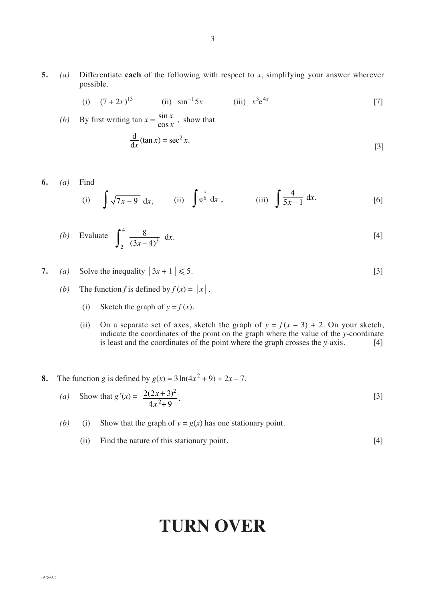**5.** *(a)* Differentiate **each** of the following with respect to *x*, simplifying your answer wherever possible.

(i) 
$$
(7+2x)^{13}
$$
 (ii)  $\sin^{-1} 5x$  (iii)  $x^3 e^{4x}$  [7]

(b) By first writing 
$$
\tan x = \frac{\sin x}{\cos x}
$$
, show that  
\n
$$
\frac{d}{dx}(\tan x) = \sec^2 x.
$$
\n[3]

6. (a) Find  
\n(i) 
$$
\int \sqrt{7x-9} \, dx
$$
, (ii)  $\int e^{\frac{x}{6}} \, dx$ , (iii)  $\int \frac{4}{5x-1} \, dx$ . [6]

(b) Evaluate 
$$
\int_{2}^{4} \frac{8}{(3x-4)^3} dx
$$
. [4]

- **7.** *(a)* Solve the inequality  $|3x + 1| \le 5$ . [3]
	- *(b)* The function *f* is defined by  $f(x) = |x|$ .
		- (i) Sketch the graph of  $y = f(x)$ .
		- (ii) On a separate set of axes, sketch the graph of  $y = f(x 3) + 2$ . On your sketch, indicate the coordinates of the point on the graph where the value of the *y*-coordinate is least and the coordinates of the point where the graph crosses the *y*-axis. [4]
- **8.** The function *g* is defined by  $g(x) = 3 \ln(4x^2 + 9) + 2x 7$ .

(a) Show that 
$$
g'(x) = \frac{2(2x+3)^2}{4x^2+9}
$$
. [3]

*(b)* (i) Show that the graph of  $y = g(x)$  has one stationary point.

(ii) Find the nature of this stationary point. [4]

# **TURN OVER**